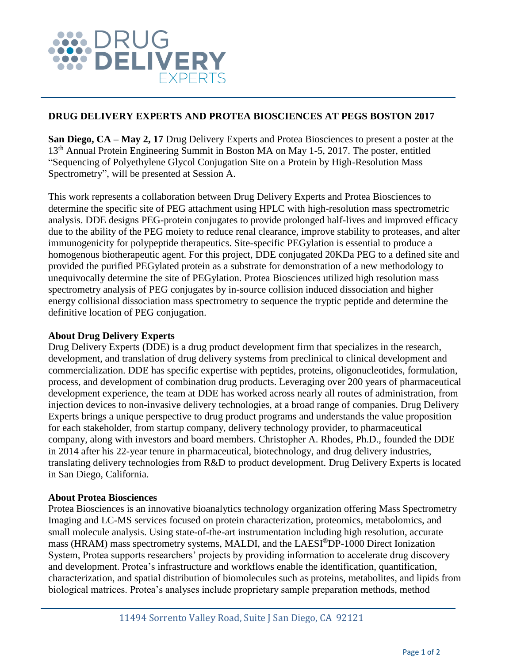

## **DRUG DELIVERY EXPERTS AND PROTEA BIOSCIENCES AT PEGS BOSTON 2017**

**San Diego, CA – May 2, 17** Drug Delivery Experts and Protea Biosciences to present a poster at the 13<sup>th</sup> Annual Protein Engineering Summit in Boston MA on May 1-5, 2017. The poster, entitled "Sequencing of Polyethylene Glycol Conjugation Site on a Protein by High-Resolution Mass Spectrometry", will be presented at Session A.

This work represents a collaboration between Drug Delivery Experts and Protea Biosciences to determine the specific site of PEG attachment using HPLC with high-resolution mass spectrometric analysis. DDE designs PEG-protein conjugates to provide prolonged half-lives and improved efficacy due to the ability of the PEG moiety to reduce renal clearance, improve stability to proteases, and alter immunogenicity for polypeptide therapeutics. Site-specific PEGylation is essential to produce a homogenous biotherapeutic agent. For this project, DDE conjugated 20KDa PEG to a defined site and provided the purified PEGylated protein as a substrate for demonstration of a new methodology to unequivocally determine the site of PEGylation. Protea Biosciences utilized high resolution mass spectrometry analysis of PEG conjugates by in-source collision induced dissociation and higher energy collisional dissociation mass spectrometry to sequence the tryptic peptide and determine the definitive location of PEG conjugation.

## **About Drug Delivery Experts**

Drug Delivery Experts (DDE) is a drug product development firm that specializes in the research, development, and translation of drug delivery systems from preclinical to clinical development and commercialization. DDE has specific expertise with peptides, proteins, oligonucleotides, formulation, process, and development of combination drug products. Leveraging over 200 years of pharmaceutical development experience, the team at DDE has worked across nearly all routes of administration, from injection devices to non-invasive delivery technologies, at a broad range of companies. Drug Delivery Experts brings a unique perspective to drug product programs and understands the value proposition for each stakeholder, from startup company, delivery technology provider, to pharmaceutical company, along with investors and board members. Christopher A. Rhodes, Ph.D., founded the DDE in 2014 after his 22-year tenure in pharmaceutical, biotechnology, and drug delivery industries, translating delivery technologies from R&D to product development. Drug Delivery Experts is located in San Diego, California.

## **About Protea Biosciences**

Protea Biosciences is an innovative bioanalytics technology organization offering [Mass Spectrometry](https://proteabio.com/mass-spectrometry.html)  [Imaging](https://proteabio.com/mass-spectrometry.html) and [LC-MS services](https://proteabio.com/lcms-services.html) focused on protein characterization, proteomics, metabolomics, and small molecule analysis. Using state-of-the-art instrumentation including high resolution, accurate mass (HRAM) mass spectrometry systems, [MALDI,](https://proteabio.com/maldi-services.html) and the LAESI®[DP-1000](https://proteabio.com/laesi-dp-1000-specifications.html) Direct Ionization System, Protea supports researchers' projects by providing information to accelerate drug discovery and development. Protea's infrastructure and workflows enable the identification, quantification, characterization, and spatial distribution of biomolecules such as proteins, metabolites, and lipids from biological matrices. Protea's analyses include proprietary sample preparation methods, method